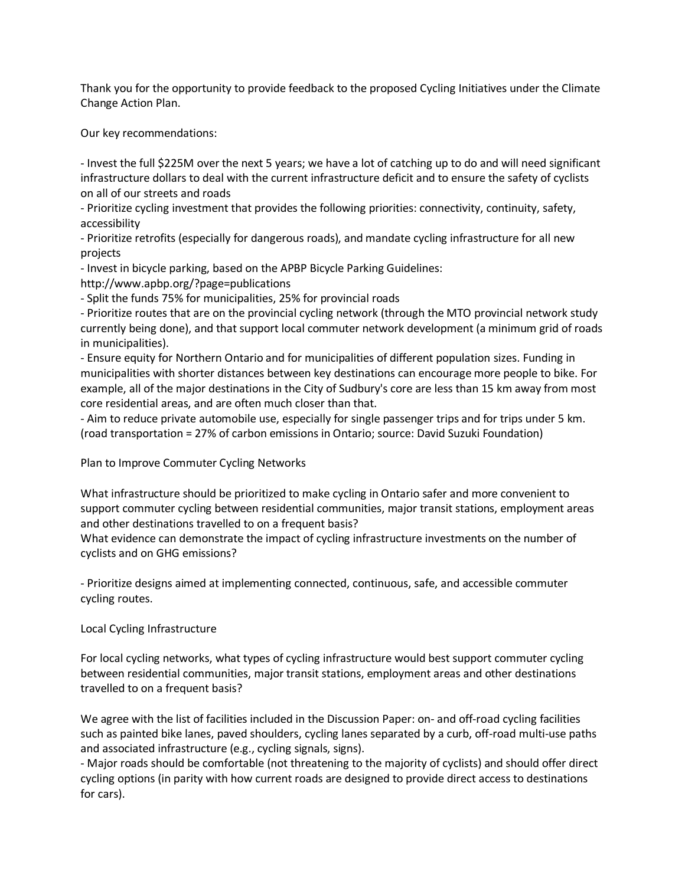Thank you for the opportunity to provide feedback to the proposed Cycling Initiatives under the Climate Change Action Plan.

Our key recommendations:

- Invest the full \$225M over the next 5 years; we have a lot of catching up to do and will need significant infrastructure dollars to deal with the current infrastructure deficit and to ensure the safety of cyclists on all of our streets and roads

- Prioritize cycling investment that provides the following priorities: connectivity, continuity, safety, accessibility

- Prioritize retrofits (especially for dangerous roads), and mandate cycling infrastructure for all new projects

- Invest in bicycle parking, based on the APBP Bicycle Parking Guidelines:

http://www.apbp.org/?page=publications

- Split the funds 75% for municipalities, 25% for provincial roads

- Prioritize routes that are on the provincial cycling network (through the MTO provincial network study currently being done), and that support local commuter network development (a minimum grid of roads in municipalities).

- Ensure equity for Northern Ontario and for municipalities of different population sizes. Funding in municipalities with shorter distances between key destinations can encourage more people to bike. For example, all of the major destinations in the City of Sudbury's core are less than 15 km away from most core residential areas, and are often much closer than that.

- Aim to reduce private automobile use, especially for single passenger trips and for trips under 5 km. (road transportation = 27% of carbon emissions in Ontario; source: David Suzuki Foundation)

Plan to Improve Commuter Cycling Networks

What infrastructure should be prioritized to make cycling in Ontario safer and more convenient to support commuter cycling between residential communities, major transit stations, employment areas and other destinations travelled to on a frequent basis?

What evidence can demonstrate the impact of cycling infrastructure investments on the number of cyclists and on GHG emissions?

- Prioritize designs aimed at implementing connected, continuous, safe, and accessible commuter cycling routes.

Local Cycling Infrastructure

For local cycling networks, what types of cycling infrastructure would best support commuter cycling between residential communities, major transit stations, employment areas and other destinations travelled to on a frequent basis?

We agree with the list of facilities included in the Discussion Paper: on- and off-road cycling facilities such as painted bike lanes, paved shoulders, cycling lanes separated by a curb, off-road multi-use paths and associated infrastructure (e.g., cycling signals, signs).

- Major roads should be comfortable (not threatening to the majority of cyclists) and should offer direct cycling options (in parity with how current roads are designed to provide direct access to destinations for cars).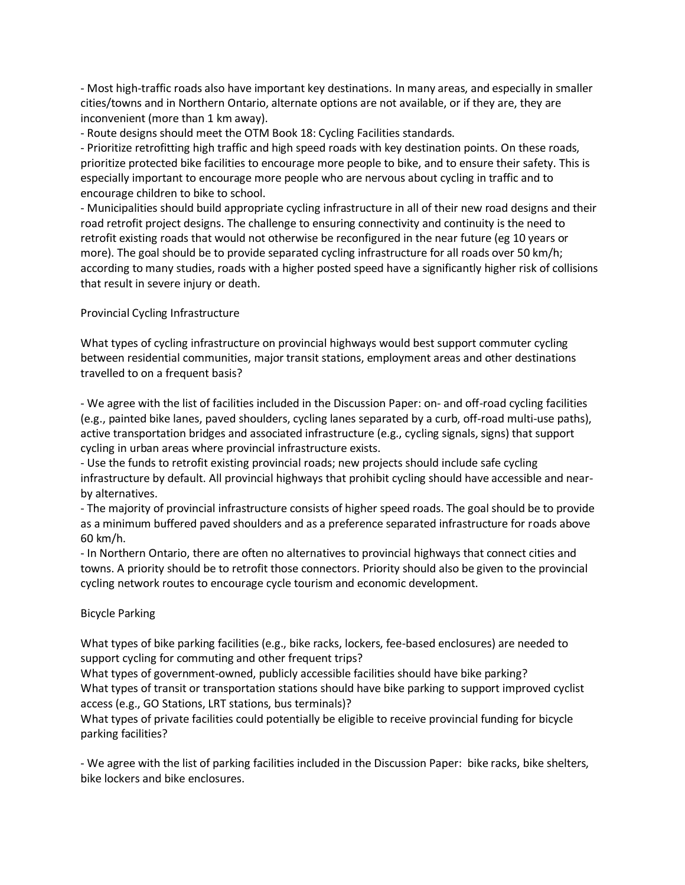- Most high-traffic roads also have important key destinations. In many areas, and especially in smaller cities/towns and in Northern Ontario, alternate options are not available, or if they are, they are inconvenient (more than 1 km away).

- Route designs should meet the OTM Book 18: Cycling Facilities standards.

- Prioritize retrofitting high traffic and high speed roads with key destination points. On these roads, prioritize protected bike facilities to encourage more people to bike, and to ensure their safety. This is especially important to encourage more people who are nervous about cycling in traffic and to encourage children to bike to school.

- Municipalities should build appropriate cycling infrastructure in all of their new road designs and their road retrofit project designs. The challenge to ensuring connectivity and continuity is the need to retrofit existing roads that would not otherwise be reconfigured in the near future (eg 10 years or more). The goal should be to provide separated cycling infrastructure for all roads over 50 km/h; according to many studies, roads with a higher posted speed have a significantly higher risk of collisions that result in severe injury or death.

## Provincial Cycling Infrastructure

What types of cycling infrastructure on provincial highways would best support commuter cycling between residential communities, major transit stations, employment areas and other destinations travelled to on a frequent basis?

- We agree with the list of facilities included in the Discussion Paper: on- and off-road cycling facilities (e.g., painted bike lanes, paved shoulders, cycling lanes separated by a curb, off-road multi-use paths), active transportation bridges and associated infrastructure (e.g., cycling signals, signs) that support cycling in urban areas where provincial infrastructure exists.

- Use the funds to retrofit existing provincial roads; new projects should include safe cycling infrastructure by default. All provincial highways that prohibit cycling should have accessible and nearby alternatives.

- The majority of provincial infrastructure consists of higher speed roads. The goal should be to provide as a minimum buffered paved shoulders and as a preference separated infrastructure for roads above 60 km/h.

- In Northern Ontario, there are often no alternatives to provincial highways that connect cities and towns. A priority should be to retrofit those connectors. Priority should also be given to the provincial cycling network routes to encourage cycle tourism and economic development.

## Bicycle Parking

What types of bike parking facilities (e.g., bike racks, lockers, fee-based enclosures) are needed to support cycling for commuting and other frequent trips?

What types of government-owned, publicly accessible facilities should have bike parking? What types of transit or transportation stations should have bike parking to support improved cyclist access (e.g., GO Stations, LRT stations, bus terminals)?

What types of private facilities could potentially be eligible to receive provincial funding for bicycle parking facilities?

- We agree with the list of parking facilities included in the Discussion Paper: bike racks, bike shelters, bike lockers and bike enclosures.